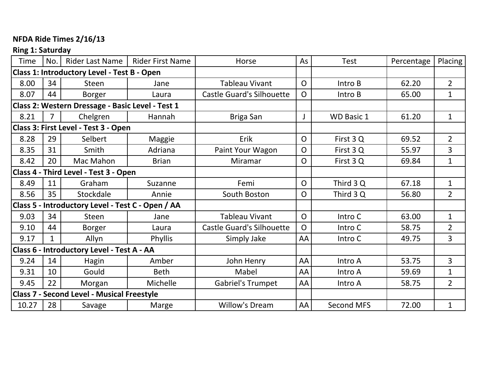## **NFDA Ride Times 2/16/13**

# **Ring 1: Saturday**

| <b>Time</b>                                       | No.          | Rider Last Name                                   | <b>Rider First Name</b> | Horse                            | As             | <b>Test</b>       | Percentage | Placing        |
|---------------------------------------------------|--------------|---------------------------------------------------|-------------------------|----------------------------------|----------------|-------------------|------------|----------------|
|                                                   |              | Class 1: Introductory Level - Test B - Open       |                         |                                  |                |                   |            |                |
| 8.00                                              | 34           | <b>Steen</b>                                      | Jane                    | <b>Tableau Vivant</b>            | $\overline{O}$ | Intro B           | 62.20      | $\overline{2}$ |
| 8.07                                              | 44           | <b>Borger</b>                                     | Laura                   | <b>Castle Guard's Silhouette</b> | $\mathsf{O}$   | Intro B           | 65.00      | $\mathbf 1$    |
|                                                   |              | Class 2: Western Dressage - Basic Level - Test 1  |                         |                                  |                |                   |            |                |
| 8.21                                              | 7            | Chelgren                                          | Hannah                  | Briga San                        | J              | <b>WD Basic 1</b> | 61.20      | $\mathbf{1}$   |
| Class 3: First Level - Test 3 - Open              |              |                                                   |                         |                                  |                |                   |            |                |
| 8.28                                              | 29           | Selbert                                           | Maggie                  | Erik                             | $\mathsf{O}$   | First 3Q          | 69.52      | $\overline{2}$ |
| 8.35                                              | 31           | Smith                                             | Adriana                 | Paint Your Wagon                 | $\mathsf{O}$   | First 3Q          | 55.97      | 3              |
| 8.42                                              | 20           | Mac Mahon                                         | <b>Brian</b>            | Miramar                          | $\overline{O}$ | First 3Q          | 69.84      | $\mathbf 1$    |
| Class 4 - Third Level - Test 3 - Open             |              |                                                   |                         |                                  |                |                   |            |                |
| 8.49                                              | 11           | Graham                                            | Suzanne                 | Femi                             | $\overline{O}$ | Third 3 Q         | 67.18      | $\mathbf 1$    |
| 8.56                                              | 35           | Stockdale                                         | Annie                   | South Boston                     | $\mathsf{O}$   | Third 3 Q         | 56.80      | $\overline{2}$ |
| Class 5 - Introductory Level - Test C - Open / AA |              |                                                   |                         |                                  |                |                   |            |                |
| 9.03                                              | 34           | <b>Steen</b>                                      | Jane                    | <b>Tableau Vivant</b>            | $\mathsf{O}$   | Intro C           | 63.00      | $\mathbf 1$    |
| 9.10                                              | 44           | <b>Borger</b>                                     | Laura                   | <b>Castle Guard's Silhouette</b> | $\Omega$       | Intro C           | 58.75      | $\overline{2}$ |
| 9.17                                              | $\mathbf{1}$ | Allyn                                             | <b>Phyllis</b>          | Simply Jake                      | AA             | Intro C           | 49.75      | 3              |
|                                                   |              | Class 6 - Introductory Level - Test A - AA        |                         |                                  |                |                   |            |                |
| 9.24                                              | 14           | Hagin                                             | Amber                   | John Henry                       | AA             | Intro A           | 53.75      | 3              |
| 9.31                                              | 10           | Gould                                             | <b>Beth</b>             | Mabel                            | AA             | Intro A           | 59.69      | $\mathbf 1$    |
| 9.45                                              | 22           | Morgan                                            | Michelle                | <b>Gabriel's Trumpet</b>         | AA             | Intro A           | 58.75      | $\overline{2}$ |
|                                                   |              | <b>Class 7 - Second Level - Musical Freestyle</b> |                         |                                  |                |                   |            |                |
| 10.27                                             | 28           | Savage                                            | Marge                   | Willow's Dream                   | AA             | Second MFS        | 72.00      | $\mathbf 1$    |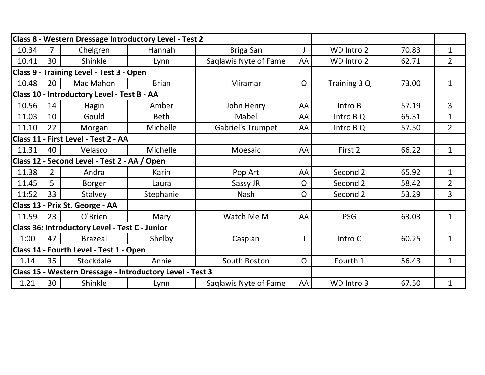|                                             |                |                                                | Class 8 - Western Dressage Introductory Level - Test 2    |                          |                |              |       |                |
|---------------------------------------------|----------------|------------------------------------------------|-----------------------------------------------------------|--------------------------|----------------|--------------|-------|----------------|
| 10.34                                       |                | Chelgren                                       | Hannah                                                    | <b>Briga San</b>         | J              | WD Intro 2   | 70.83 | $\mathbf 1$    |
| 10.41                                       | 30             | Shinkle                                        | Lynn                                                      | Saqlawis Nyte of Fame    | AA             | WD Intro 2   | 62.71 | $\overline{2}$ |
|                                             |                | Class 9 - Training Level - Test 3 - Open       |                                                           |                          |                |              |       |                |
| 10.48                                       | 20             | Mac Mahon                                      | <b>Brian</b>                                              | Miramar                  | $\overline{O}$ | Training 3 Q | 73.00 | $\mathbf{1}$   |
| Class 10 - Introductory Level - Test B - AA |                |                                                |                                                           |                          |                |              |       |                |
| 10.56                                       | 14             | Hagin                                          | Amber                                                     | John Henry               | AA             | Intro B      | 57.19 | 3              |
| 11.03                                       | 10             | Gould                                          | <b>Beth</b>                                               | Mabel                    | AA             | Intro B Q    | 65.31 | $\mathbf 1$    |
| 11.10                                       | 22             | Morgan                                         | Michelle                                                  | <b>Gabriel's Trumpet</b> | AA             | Intro B Q    | 57.50 | $\overline{2}$ |
|                                             |                | Class 11 - First Level - Test 2 - AA           |                                                           |                          |                |              |       |                |
| 11.31                                       | 40             | Velasco                                        | Michelle                                                  | Moesaic                  | AA             | First 2      | 66.22 | $\mathbf{1}$   |
|                                             |                | Class 12 - Second Level - Test 2 - AA / Open   |                                                           |                          |                |              |       |                |
| 11.38                                       | $\overline{2}$ | Andra                                          | Karin                                                     | Pop Art                  | AA             | Second 2     | 65.92 | $\mathbf{1}$   |
| 11.45                                       | 5              | <b>Borger</b>                                  | Laura                                                     | Sassy JR                 | $\overline{O}$ | Second 2     | 58.42 | $\overline{2}$ |
| 11:52                                       | 33             | <b>Stalvey</b>                                 | Stephanie                                                 | <b>Nash</b>              | $\mathsf{O}$   | Second 2     | 53.29 | 3              |
|                                             |                | Class 13 - Prix St. George - AA                |                                                           |                          |                |              |       |                |
| 11.59                                       | 23             | O'Brien                                        | Mary                                                      | Watch Me M               | AA             | <b>PSG</b>   | 63.03 | $\mathbf{1}$   |
|                                             |                | Class 36: Introductory Level - Test C - Junior |                                                           |                          |                |              |       |                |
| 1:00                                        | 47             | <b>Brazeal</b>                                 | Shelby                                                    | Caspian                  | J              | Intro C      | 60.25 | $\mathbf{1}$   |
|                                             |                | Class 14 - Fourth Level - Test 1 - Open        |                                                           |                          |                |              |       |                |
| 1.14                                        | 35             | Stockdale                                      | Annie                                                     | South Boston             | $\mathsf{O}$   | Fourth 1     | 56.43 | $\mathbf{1}$   |
|                                             |                |                                                | Class 15 - Western Dressage - Introductory Level - Test 3 |                          |                |              |       |                |
| 1.21                                        | 30             | Shinkle                                        | Lynn                                                      | Saqlawis Nyte of Fame    | AA             | WD Intro 3   | 67.50 | $\mathbf 1$    |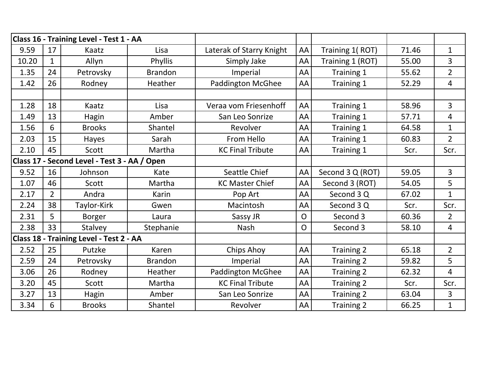|       |                | Class 16 - Training Level - Test 1 - AA      |                |                          |                |                   |       |                |
|-------|----------------|----------------------------------------------|----------------|--------------------------|----------------|-------------------|-------|----------------|
| 9.59  | 17             | Kaatz                                        | Lisa           | Laterak of Starry Knight | AA             | Training 1(ROT)   | 71.46 | $\mathbf{1}$   |
| 10.20 | $\mathbf{1}$   | Allyn                                        | Phyllis        | Simply Jake              | AA             | Training 1 (ROT)  | 55.00 | 3              |
| 1.35  | 24             | Petrovsky                                    | <b>Brandon</b> | Imperial                 | AA             | Training 1        | 55.62 | $\overline{2}$ |
| 1.42  | 26             | Rodney                                       | Heather        | <b>Paddington McGhee</b> | AA             | Training 1        | 52.29 | 4              |
|       |                |                                              |                |                          |                |                   |       |                |
| 1.28  | 18             | Kaatz                                        | Lisa           | Veraa vom Friesenhoff    | AA             | Training 1        | 58.96 | 3              |
| 1.49  | 13             | Hagin                                        | Amber          | San Leo Sonrize          | AA             | Training 1        | 57.71 | 4              |
| 1.56  | 6              | <b>Brooks</b>                                | Shantel        | Revolver                 | AA             | Training 1        | 64.58 | $\mathbf{1}$   |
| 2.03  | 15             | Hayes                                        | Sarah          | From Hello               | AA             | Training 1        | 60.83 | $\overline{2}$ |
| 2.10  | 45             | Scott                                        | Martha         | <b>KC Final Tribute</b>  | AA             | Training 1        | Scr.  | Scr.           |
|       |                | Class 17 - Second Level - Test 3 - AA / Open |                |                          |                |                   |       |                |
| 9.52  | 16             | Johnson                                      | Kate           | Seattle Chief            | AA             | Second 3 Q (ROT)  | 59.05 | $\overline{3}$ |
| 1.07  | 46             | Scott                                        | Martha         | <b>KC Master Chief</b>   | AA             | Second 3 (ROT)    | 54.05 | 5              |
| 2.17  | $\overline{2}$ | Andra                                        | Karin          | Pop Art                  | AA             | Second 3 Q        | 67.02 | $\mathbf{1}$   |
| 2.24  | 38             | Taylor-Kirk                                  | Gwen           | Macintosh                | AA             | Second 3 Q        | Scr.  | Scr.           |
| 2.31  | 5              | <b>Borger</b>                                | Laura          | Sassy JR                 | $\mathsf{O}$   | Second 3          | 60.36 | $\overline{2}$ |
| 2.38  | 33             | Stalvey                                      | Stephanie      | <b>Nash</b>              | $\overline{O}$ | Second 3          | 58.10 | 4              |
|       |                | Class 18 - Training Level - Test 2 - AA      |                |                          |                |                   |       |                |
| 2.52  | 25             | Putzke                                       | Karen          | <b>Chips Ahoy</b>        | AA             | Training 2        | 65.18 | $\overline{2}$ |
| 2.59  | 24             | Petrovsky                                    | <b>Brandon</b> | Imperial                 | AA             | Training 2        | 59.82 | 5              |
| 3.06  | 26             | Rodney                                       | Heather        | <b>Paddington McGhee</b> | AA             | Training 2        | 62.32 | 4              |
| 3.20  | 45             | Scott                                        | Martha         | <b>KC Final Tribute</b>  | AA             | Training 2        | Scr.  | Scr.           |
| 3.27  | 13             | Hagin                                        | Amber          | San Leo Sonrize          | AA             | Training 2        | 63.04 | 3              |
| 3.34  | 6              | <b>Brooks</b>                                | Shantel        | Revolver                 | AA             | <b>Training 2</b> | 66.25 | $\mathbf{1}$   |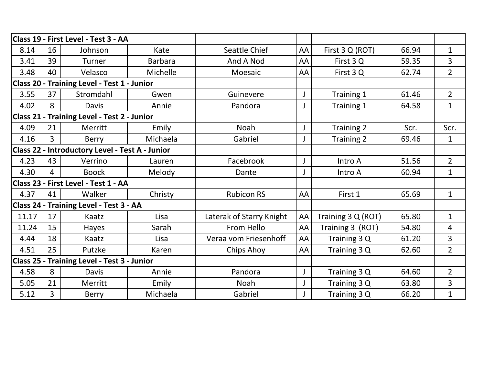|                                                    |                | Class 19 - First Level - Test 3 - AA               |                |                          |    |                    |       |                |
|----------------------------------------------------|----------------|----------------------------------------------------|----------------|--------------------------|----|--------------------|-------|----------------|
|                                                    |                |                                                    |                |                          |    |                    |       |                |
| 8.14                                               | 16             | Johnson                                            | Kate           | Seattle Chief            | AA | First 3 Q (ROT)    | 66.94 | $\mathbf{1}$   |
| 3.41                                               | 39             | Turner                                             | <b>Barbara</b> | And A Nod                | AA | First 3Q           | 59.35 | 3              |
| 3.48                                               | 40             | Velasco                                            | Michelle       | Moesaic                  | AA | First 3Q           | 62.74 | $\overline{2}$ |
|                                                    |                | Class 20 - Training Level - Test 1 - Junior        |                |                          |    |                    |       |                |
| 3.55                                               | 37             | Stromdahl                                          | Gwen           | Guinevere                | J  | Training 1         | 61.46 | $\overline{2}$ |
| 4.02                                               | 8              | <b>Davis</b>                                       | Annie          | Pandora                  | J  | Training 1         | 64.58 | $\mathbf{1}$   |
|                                                    |                | <b>Class 21 - Training Level - Test 2 - Junior</b> |                |                          |    |                    |       |                |
| 4.09                                               | 21             | Merritt                                            | Emily          | <b>Noah</b>              | J  | Training 2         | Scr.  | Scr.           |
| 4.16                                               | $\overline{3}$ | Berry                                              | Michaela       | Gabriel                  | J  | Training 2         | 69.46 | $\mathbf{1}$   |
|                                                    |                | Class 22 - Introductory Level - Test A - Junior    |                |                          |    |                    |       |                |
| 4.23                                               | 43             | Verrino                                            | Lauren         | Facebrook                | J  | Intro A            | 51.56 | $\overline{2}$ |
| 4.30                                               | 4              | <b>Boock</b>                                       | Melody         | Dante                    | J  | Intro A            | 60.94 | $\mathbf{1}$   |
| Class 23 - First Level - Test 1 - AA               |                |                                                    |                |                          |    |                    |       |                |
| 4.37                                               | 41             | Walker                                             | Christy        | <b>Rubicon RS</b>        | AA | First 1            | 65.69 | $\mathbf{1}$   |
|                                                    |                | Class 24 - Training Level - Test 3 - AA            |                |                          |    |                    |       |                |
| 11.17                                              | 17             | Kaatz                                              | Lisa           | Laterak of Starry Knight | AA | Training 3 Q (ROT) | 65.80 | $\mathbf{1}$   |
| 11.24                                              | 15             | Hayes                                              | Sarah          | From Hello               | AA | Training 3 (ROT)   | 54.80 | 4              |
| 4.44                                               | 18             | Kaatz                                              | Lisa           | Veraa vom Friesenhoff    | AA | Training 3 Q       | 61.20 | $\overline{3}$ |
| 4.51                                               | 25             | Putzke                                             | Karen          | Chips Ahoy               | AA | Training 3 Q       | 62.60 | $\overline{2}$ |
| <b>Class 25 - Training Level - Test 3 - Junior</b> |                |                                                    |                |                          |    |                    |       |                |
| 4.58                                               | 8              | Davis                                              | Annie          | Pandora                  | J  | Training 3 Q       | 64.60 | $\overline{2}$ |
| 5.05                                               | 21             | Merritt                                            | Emily          | Noah                     | J  | Training 3 Q       | 63.80 | 3              |
| 5.12                                               | $\overline{3}$ | Berry                                              | Michaela       | Gabriel                  |    | Training 3 Q       | 66.20 | $\mathbf{1}$   |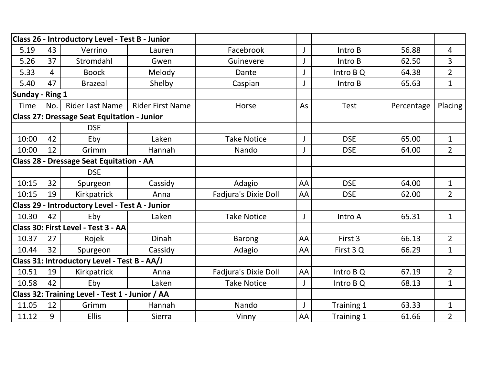|                 |                | Class 26 - Introductory Level - Test B - Junior    |                         |                             |              |             |            |                |
|-----------------|----------------|----------------------------------------------------|-------------------------|-----------------------------|--------------|-------------|------------|----------------|
| 5.19            | 43             | Verrino                                            | Lauren                  | Facebrook                   | J            | Intro B     | 56.88      | 4              |
| 5.26            | 37             | Stromdahl                                          | Gwen                    | Guinevere                   | J            | Intro B     | 62.50      | 3              |
| 5.33            | $\overline{4}$ | <b>Boock</b>                                       | Melody                  | Dante                       | J            | Intro B Q   | 64.38      | $\overline{2}$ |
| 5.40            | 47             | <b>Brazeal</b>                                     | Shelby                  | Caspian                     | $\mathsf{J}$ | Intro B     | 65.63      | $\mathbf{1}$   |
| Sunday - Ring 1 |                |                                                    |                         |                             |              |             |            |                |
| <b>Time</b>     | No.            | <b>Rider Last Name</b>                             | <b>Rider First Name</b> | Horse                       | As           | <b>Test</b> | Percentage | Placing        |
|                 |                | <b>Class 27: Dressage Seat Equitation - Junior</b> |                         |                             |              |             |            |                |
|                 |                | <b>DSE</b>                                         |                         |                             |              |             |            |                |
| 10:00           | 42             | Eby                                                | Laken                   | <b>Take Notice</b>          | J            | <b>DSE</b>  | 65.00      | $\mathbf{1}$   |
| 10:00           | 12             | Grimm                                              | Hannah                  | Nando                       | J            | <b>DSE</b>  | 64.00      | $\overline{2}$ |
|                 |                | Class 28 - Dressage Seat Equitation - AA           |                         |                             |              |             |            |                |
|                 |                | <b>DSE</b>                                         |                         |                             |              |             |            |                |
| 10:15           | 32             | Spurgeon                                           | Cassidy                 | Adagio                      | AA           | <b>DSE</b>  | 64.00      | $\mathbf{1}$   |
| 10:15           | 19             | Kirkpatrick                                        | Anna                    | Fadjura's Dixie Doll        | AA           | <b>DSE</b>  | 62.00      | $\overline{2}$ |
|                 |                | Class 29 - Introductory Level - Test A - Junior    |                         |                             |              |             |            |                |
| 10.30           | 42             | Eby                                                | Laken                   | <b>Take Notice</b>          | J            | Intro A     | 65.31      | $\mathbf{1}$   |
|                 |                | Class 30: First Level - Test 3 - AA                |                         |                             |              |             |            |                |
| 10.37           | 27             | Rojek                                              | <b>Dinah</b>            | <b>Barong</b>               | AA           | First 3     | 66.13      | $\overline{2}$ |
| 10.44           | 32             | Spurgeon                                           | Cassidy                 | Adagio                      | AA           | First 3Q    | 66.29      | $\mathbf{1}$   |
|                 |                | Class 31: Introductory Level - Test B - AA/J       |                         |                             |              |             |            |                |
| 10.51           | 19             | Kirkpatrick                                        | Anna                    | <b>Fadjura's Dixie Doll</b> | AA           | Intro B Q   | 67.19      | $\overline{2}$ |
| 10.58           | 42             | Eby                                                | Laken                   | <b>Take Notice</b>          | J            | Intro B Q   | 68.13      | $\mathbf{1}$   |
|                 |                | Class 32: Training Level - Test 1 - Junior / AA    |                         |                             |              |             |            |                |
| 11.05           | 12             | Grimm                                              | Hannah                  | Nando                       | J            | Training 1  | 63.33      | $\mathbf{1}$   |
| 11.12           | 9              | <b>Ellis</b>                                       | Sierra                  | Vinny                       | AA           | Training 1  | 61.66      | $\overline{2}$ |